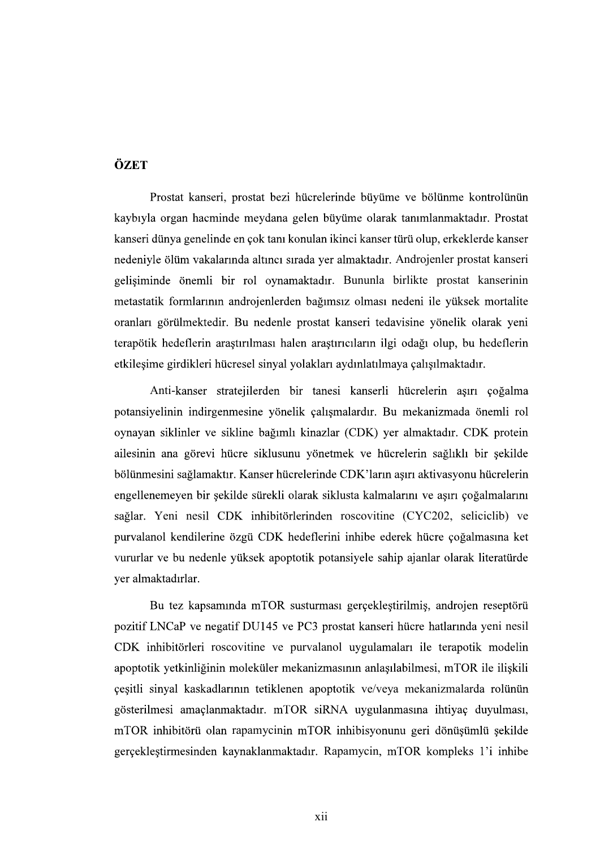## ÖZET

Prostat kanseri, prostat bezi hücrelerinde büyüme ve bölünme kontrolünün kaybıyla organ hacminde meydana gelen büyüme olarak tanımlanmaktadır. Prostat kanseri dünya genelinde en çok tanı konulan ikinci kanser türü olup, erkeklerde kanser nedeniyle ölüm vakalarında altıncı sırada yer almaktadır. Androjenler prostat kanseri gelişiminde önemli bir rol oynamaktadır. Bununla birlikte prostat kanserinin metastatik formlarının androjenlerden bağımsız olması nedeni ile yüksek mortalite oranları görülmektedir. Bu nedenle prostat kanseri tedavisine yönelik olarak yeni terapötik hedeflerin araştırılması halen araştırıcıların ilgi odağı olup, bu hedeflerin etkileşime girdikleri hücresel sinyal yolakları aydınlatılmaya çalışılmaktadır.

Anti-kanser stratejilerden bir tanesi kanserli hücrelerin aşırı çoğalma potansiyelinin indirgenmesine yönelik çalışmalardır. Bu mekanizmada önemli rol oynayan siklinler ve sikline bağımlı kinazlar (CDK) yer almaktadır. CDK protein ailesinin ana görevi hücre siklusunu yönetmek ve hücrelerin sağlıklı bir şekilde bölünmesini sağlamaktır. Kanser hücrelerinde CDK'ların aşırı aktivasyonu hücrelerin engellenemeyen bir sekilde sürekli olarak siklusta kalmalarını ve asırı çoğalmalarını sağlar. Yeni nesil CDK inhibitörlerinden roscovitine (CYC202, seliciclib) ve purvalanol kendilerine özgü CDK hedeflerini inhibe ederek hücre çoğalmasına ket vururlar ve bu nedenle yüksek apoptotik potansiyele sahip ajanlar olarak literatürde ver almaktadırlar.

Bu tez kapsamında mTOR susturması gerçekleştirilmiş, androjen reseptörü pozitif LNCaP ve negatif DU145 ve PC3 prostat kanseri hücre hatlarında yeni nesil CDK inhibitörleri roscovitine ve purvalanol uvgulamaları ile terapotik modelin apoptotik yetkinliğinin moleküler mekanizmasının anlaşılabilmesi, mTOR ile ilişkili çeşitli sinyal kaskadlarının tetiklenen apoptotik ve/veya mekanizmalarda rolünün gösterilmesi amaçlanmaktadır. mTOR siRNA uygulanmasına ihtiyaç duyulması, mTOR inhibitörü olan rapamycinin mTOR inhibisyonunu geri dönüşümlü şekilde gerçekleştirmesinden kaynaklanmaktadır. Rapamycin, mTOR kompleks 1'i inhibe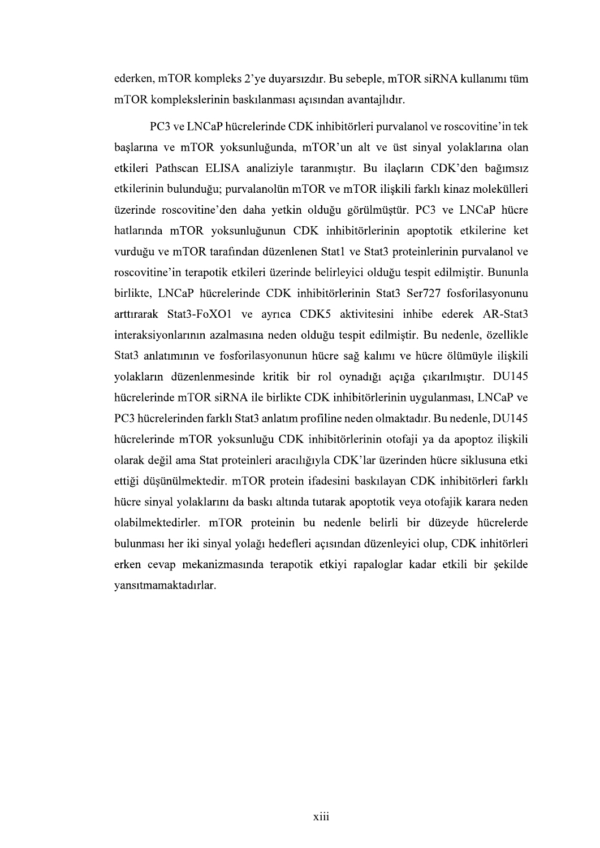ederken, mTOR kompleks 2'ye duyarsızdır. Bu sebeple, mTOR siRNA kullanımı tüm mTOR komplekslerinin baskılanması açısından avantajlıdır.

PC3 ve LNCaP hücrelerinde CDK inhibitörleri purvalanol ve roscovitine'in tek başlarına ve mTOR yoksunluğunda, mTOR'un alt ve üst sinyal yolaklarına olan etkileri Pathscan ELISA analiziyle taranmıştır. Bu ilaçların CDK'den bağımsız etkilerinin bulunduğu; purvalanolün mTOR ve mTOR ilişkili farklı kinaz molekülleri üzerinde roscovitine'den daha yetkin olduğu görülmüştür. PC3 ve LNCaP hücre hatlarında mTOR yoksunluğunun CDK inhibitörlerinin apoptotik etkilerine ket vurduğu ve mTOR tarafından düzenlenen Stat1 ve Stat3 proteinlerinin purvalanol ve roscovitine'in terapotik etkileri üzerinde belirleyici olduğu tespit edilmiştir. Bununla birlikte, LNCaP hücrelerinde CDK inhibitörlerinin Stat3 Ser727 fosforilasyonunu<br>arttırarak Stat3-FoXO1 ve ayrıca CDK5 aktivitesini inhibe ederek AR-Stat3 interaksiyonlarının azalmasına neden olduğu tespit edilmiştir. Bu nedenle, özellikle Stat3 anlatımının ve fosforilasyonunun hücre sağ kalımı ve hücre ölümüyle ilişkili yolakların düzenlenmesinde kritik bir rol oynadığı açığa çıkarılmıştır. DU145 hücrelerinde mTOR siRNA ile birlikte CDK inhibitörlerinin uygulanması, LNCaP ve PC3 hücrelerinden farklı Stat3 anlatım profiline neden olmaktadır. Bu nedenle, DU145 hücrelerinde mTOR yoksunluğu CDK inhibitörlerinin otofaji ya da apoptoz ilişkili olarak değil ama Stat proteinleri aracılığıyla CDK'lar üzerinden hücre siklusuna etki ettiği düşünülmektedir. mTOR protein ifadesini baskılayan CDK inhibitörleri farklı hücre sinyal yolaklarını da baskı altında tutarak apoptotik veya otofajik karara neden olabilmektedirler. mTOR proteinin bu nedenle belirli bir düzeyde hücrelerde bulunması her iki sinyal yolağı hedefleri açısından düzenleyici olup, CDK inhitörleri erken cevap mekanizmasında terapotik etkiyi rapaloglar kadar etkili bir şekilde vansıtmamaktadırlar.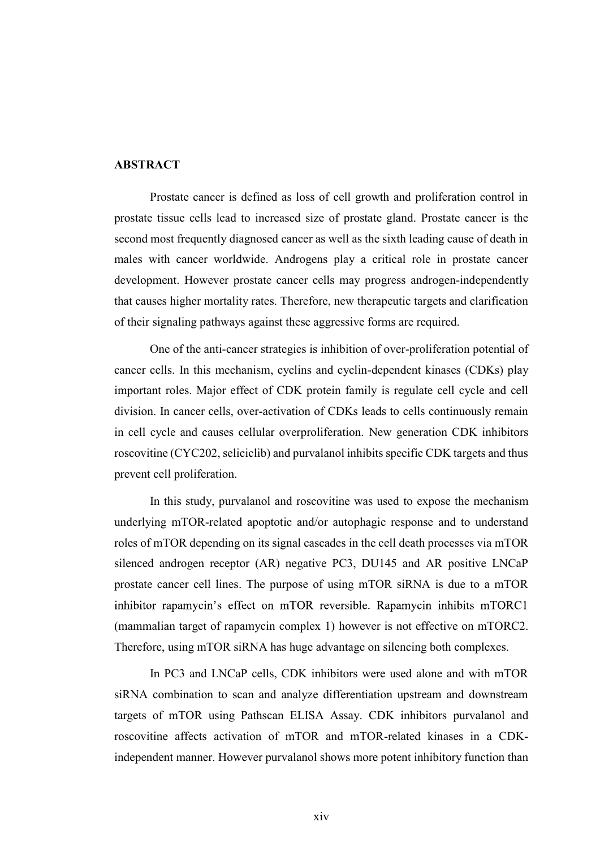## **ABSTRACT**

Prostate cancer is defined as loss of cell growth and proliferation control in prostate tissue cells lead to increased size of prostate gland. Prostate cancer is the second most frequently diagnosed cancer as well as the sixth leading cause of death in males with cancer worldwide. Androgens play a critical role in prostate cancer development. However prostate cancer cells may progress androgen-independently that causes higher mortality rates. Therefore, new therapeutic targets and clarification of their signaling pathways against these aggressive forms are required.

One of the anti-cancer strategies is inhibition of over-proliferation potential of cancer cells. In this mechanism, cyclins and cyclin-dependent kinases (CDKs) play important roles. Major effect of CDK protein family is regulate cell cycle and cell division. In cancer cells, over-activation of CDKs leads to cells continuously remain in cell cycle and causes cellular overproliferation. New generation CDK inhibitors roscovitine (CYC202, seliciclib) and purvalanol inhibits specific CDK targets and thus prevent cell proliferation.

In this study, purvalanol and roscovitine was used to expose the mechanism underlying mTOR-related apoptotic and/or autophagic response and to understand roles of mTOR depending on its signal cascades in the cell death processes via mTOR silenced androgen receptor (AR) negative PC3, DU145 and AR positive LNCaP prostate cancer cell lines. The purpose of using mTOR siRNA is due to a mTOR inhibitor rapamycin's effect on mTOR reversible. Rapamycin inhibits mTORC1 (mammalian target of rapamycin complex 1) however is not effective on mTORC2. Therefore, using mTOR siRNA has huge advantage on silencing both complexes.

In PC3 and LNCaP cells, CDK inhibitors were used alone and with mTOR siRNA combination to scan and analyze differentiation upstream and downstream targets of mTOR using Pathscan ELISA Assay. CDK inhibitors purvalanol and roscovitine affects activation of mTOR and mTOR-related kinases in a CDKindependent manner. However purvalanol shows more potent inhibitory function than